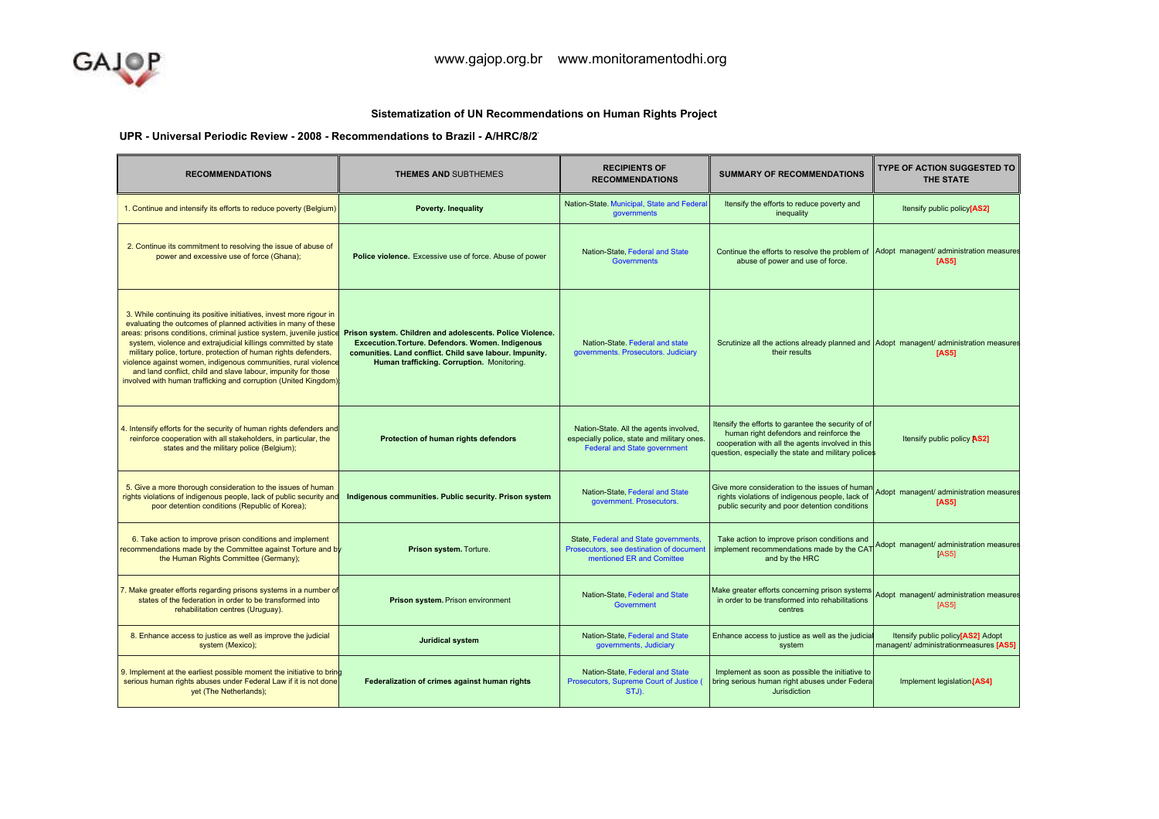## Sistematization of UN Recommendations on Human Rights Project

UPR - Universal Periodic Review - 2008 - Recommendations to Brazil - A/HRC/8/27

| <b>RECOMMENDATIONS</b>                                                                                                                                                                                                                                                                                                                                                                                                                                                                                                                                   | <b>THEMES AND SUBTHEMES</b>                                                                                                                                                                                         | <b>RECIPIENTS OF</b><br><b>RECOMMENDATIONS</b>                                                                               | <b>SUMMARY OF RECOMMENDATIONS</b>                                                                                                                                                                         | <b>TYPE OF ACTION SUGGESTED TO</b><br><b>THE STATE</b>                      |
|----------------------------------------------------------------------------------------------------------------------------------------------------------------------------------------------------------------------------------------------------------------------------------------------------------------------------------------------------------------------------------------------------------------------------------------------------------------------------------------------------------------------------------------------------------|---------------------------------------------------------------------------------------------------------------------------------------------------------------------------------------------------------------------|------------------------------------------------------------------------------------------------------------------------------|-----------------------------------------------------------------------------------------------------------------------------------------------------------------------------------------------------------|-----------------------------------------------------------------------------|
| 1. Continue and intensify its efforts to reduce poverty (Belgium)                                                                                                                                                                                                                                                                                                                                                                                                                                                                                        | Poverty. Inequality                                                                                                                                                                                                 | Nation-State. Municipal, State and Federal<br>governments                                                                    | Itensify the efforts to reduce poverty and<br>inequality                                                                                                                                                  | Itensify public policy[AS2]                                                 |
| 2. Continue its commitment to resolving the issue of abuse of<br>power and excessive use of force (Ghana);                                                                                                                                                                                                                                                                                                                                                                                                                                               | Police violence. Excessive use of force. Abuse of power                                                                                                                                                             | Nation-State, Federal and State<br><b>Governments</b>                                                                        | Continue the efforts to resolve the problem of Adopt managent/ administration measures<br>abuse of power and use of force.                                                                                | [AS5]                                                                       |
| 3. While continuing its positive initiatives, invest more rigour in<br>evaluating the outcomes of planned activities in many of these<br>areas: prisons conditions, criminal justice system, juvenile justice<br>system, violence and extrajudicial killings committed by state<br>military police, torture, protection of human rights defenders,<br>violence against women, indigenous communities, rural violence<br>and land conflict, child and slave labour, impunity for those<br>involved with human trafficking and corruption (United Kingdom) | Prison system. Children and adolescents. Police Violence.<br>Excecution.Torture.Defendors.Women.Indigenous<br>comunities. Land conflict. Child save labour. Impunity.<br>Human trafficking. Corruption. Monitoring. | Nation-State, Federal and state<br>governments. Prosecutors. Judiciary                                                       | Scrutinize all the actions already planned and Adopt managent/ administration measures<br>their results                                                                                                   | [AS5]                                                                       |
| 4. Intensify efforts for the security of human rights defenders and<br>reinforce cooperation with all stakeholders, in particular, the<br>states and the military police (Belgium);                                                                                                                                                                                                                                                                                                                                                                      | Protection of human rights defendors                                                                                                                                                                                | Nation-State. All the agents involved,<br>especially police, state and military ones.<br><b>Federal and State government</b> | Itensify the efforts to garantee the security of of<br>human right defendors and reinforce the<br>cooperation with all the agents involved in this<br>question, especially the state and military polices | Itensify public policy AS2]                                                 |
| 5. Give a more thorough consideration to the issues of human<br>rights violations of indigenous people, lack of public security and<br>poor detention conditions (Republic of Korea);                                                                                                                                                                                                                                                                                                                                                                    | Indigenous communities. Public security. Prison system                                                                                                                                                              | Nation-State, Federal and State<br>government. Prosecutors.                                                                  | Give more consideration to the issues of human<br>rights violations of indigenous people, lack of<br>public security and poor detention conditions                                                        | Adopt managent/ administration measures<br>[AS5]                            |
| 6. Take action to improve prison conditions and implement<br>recommendations made by the Committee against Torture and by<br>the Human Rights Committee (Germany);                                                                                                                                                                                                                                                                                                                                                                                       | Prison system. Torture.                                                                                                                                                                                             | State, Federal and State governments,<br>Prosecutors, see destination of document<br>mentioned ER and Comittee               | Take action to improve prison conditions and<br>implement recommendations made by the CAT<br>and by the HRC                                                                                               | Adopt managent/ administration measures<br><b>[AS5]</b>                     |
| 7. Make greater efforts regarding prisons systems in a number of<br>states of the federation in order to be transformed into<br>rehabilitation centres (Uruguay).                                                                                                                                                                                                                                                                                                                                                                                        | Prison system. Prison environment                                                                                                                                                                                   | Nation-State, Federal and State<br><b>Government</b>                                                                         | Make greater efforts concerning prison systems<br>in order to be transformed into rehabilitations<br>centres                                                                                              | Adopt managent/ administration measures<br><b>[AS5]</b>                     |
| 8. Enhance access to justice as well as improve the judicial<br>system (Mexico);                                                                                                                                                                                                                                                                                                                                                                                                                                                                         | <b>Juridical system</b>                                                                                                                                                                                             | Nation-State, Federal and State<br>governments, Judiciary                                                                    | Enhance access to justice as well as the judicial<br>system                                                                                                                                               | Itensify public policy[AS2] Adopt<br>managent/ administrationmeasures [AS5] |
| 9. Implement at the earliest possible moment the initiative to bring<br>serious human rights abuses under Federal Law if it is not done<br>yet (The Netherlands);                                                                                                                                                                                                                                                                                                                                                                                        | Federalization of crimes against human rights                                                                                                                                                                       | Nation-State, Federal and State<br>Prosecutors, Supreme Court of Justice (<br>STJ).                                          | Implement as soon as possible the initiative to<br>bring serious human right abuses under Federa<br>Jurisdiction                                                                                          | Implement legislation [AS4]                                                 |